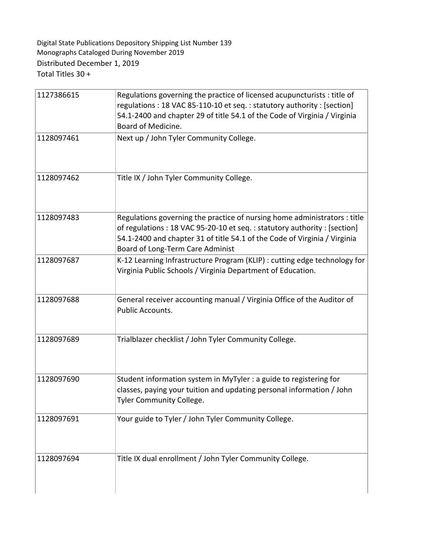Digital State Publications Depository Shipping List Number 139 Monographs Cataloged During November 2019 Total Titles 30 + Distributed December 1, 2019

| 1127386615 | Regulations governing the practice of licensed acupuncturists : title of                                                                             |
|------------|------------------------------------------------------------------------------------------------------------------------------------------------------|
|            | regulations: 18 VAC 85-110-10 et seq.: statutory authority: [section]                                                                                |
|            | 54.1-2400 and chapter 29 of title 54.1 of the Code of Virginia / Virginia                                                                            |
|            | Board of Medicine.                                                                                                                                   |
| 1128097461 | Next up / John Tyler Community College.                                                                                                              |
|            |                                                                                                                                                      |
|            |                                                                                                                                                      |
| 1128097462 | Title IX / John Tyler Community College.                                                                                                             |
|            |                                                                                                                                                      |
|            |                                                                                                                                                      |
| 1128097483 |                                                                                                                                                      |
|            | Regulations governing the practice of nursing home administrators : title<br>of regulations: 18 VAC 95-20-10 et seq.: statutory authority: [section] |
|            | 54.1-2400 and chapter 31 of title 54.1 of the Code of Virginia / Virginia                                                                            |
|            | Board of Long-Term Care Administ                                                                                                                     |
| 1128097687 | K-12 Learning Infrastructure Program (KLIP) : cutting edge technology for                                                                            |
|            | Virginia Public Schools / Virginia Department of Education.                                                                                          |
|            |                                                                                                                                                      |
|            |                                                                                                                                                      |
| 1128097688 | General receiver accounting manual / Virginia Office of the Auditor of                                                                               |
|            | Public Accounts.                                                                                                                                     |
|            |                                                                                                                                                      |
| 1128097689 | Trialblazer checklist / John Tyler Community College.                                                                                                |
|            |                                                                                                                                                      |
|            |                                                                                                                                                      |
| 1128097690 | Student information system in MyTyler : a guide to registering for                                                                                   |
|            | classes, paying your tuition and updating personal information / John                                                                                |
|            | <b>Tyler Community College</b>                                                                                                                       |
|            |                                                                                                                                                      |
| 1128097691 | Your guide to Tyler / John Tyler Community College.                                                                                                  |
|            |                                                                                                                                                      |
|            |                                                                                                                                                      |
| 1128097694 | Title IX dual enrollment / John Tyler Community College.                                                                                             |
|            |                                                                                                                                                      |
|            |                                                                                                                                                      |
|            |                                                                                                                                                      |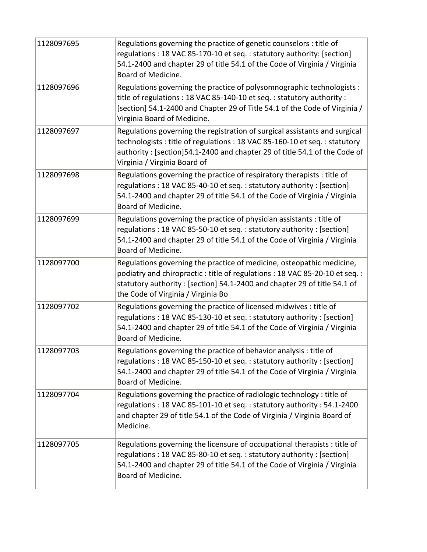| 1128097695 | Regulations governing the practice of genetic counselors : title of<br>regulations: 18 VAC 85-170-10 et seq.: statutory authority: [section]<br>54.1-2400 and chapter 29 of title 54.1 of the Code of Virginia / Virginia<br>Board of Medicine.                        |
|------------|------------------------------------------------------------------------------------------------------------------------------------------------------------------------------------------------------------------------------------------------------------------------|
| 1128097696 | Regulations governing the practice of polysomnographic technologists :<br>title of regulations : 18 VAC 85-140-10 et seq. : statutory authority :<br>[section] 54.1-2400 and Chapter 29 of Title 54.1 of the Code of Virginia /<br>Virginia Board of Medicine.         |
| 1128097697 | Regulations governing the registration of surgical assistants and surgical<br>technologists : title of regulations : 18 VAC 85-160-10 et seq. : statutory<br>authority: [section]54.1-2400 and chapter 29 of title 54.1 of the Code of<br>Virginia / Virginia Board of |
| 1128097698 | Regulations governing the practice of respiratory therapists : title of<br>regulations: 18 VAC 85-40-10 et seq.: statutory authority: [section]<br>54.1-2400 and chapter 29 of title 54.1 of the Code of Virginia / Virginia<br>Board of Medicine.                     |
| 1128097699 | Regulations governing the practice of physician assistants : title of<br>regulations: 18 VAC 85-50-10 et seq.: statutory authority: [section]<br>54.1-2400 and chapter 29 of title 54.1 of the Code of Virginia / Virginia<br>Board of Medicine.                       |
| 1128097700 | Regulations governing the practice of medicine, osteopathic medicine,<br>podiatry and chiropractic: title of regulations: 18 VAC 85-20-10 et seq.:<br>statutory authority: [section] 54.1-2400 and chapter 29 of title 54.1 of<br>the Code of Virginia / Virginia Bo   |
| 1128097702 | Regulations governing the practice of licensed midwives : title of<br>regulations: 18 VAC 85-130-10 et seq.: statutory authority: [section]<br>54.1-2400 and chapter 29 of title 54.1 of the Code of Virginia / Virginia<br>Board of Medicine.                         |
| 1128097703 | Regulations governing the practice of behavior analysis : title of<br>regulations: 18 VAC 85-150-10 et seq.: statutory authority: [section]<br>54.1-2400 and chapter 29 of title 54.1 of the Code of Virginia / Virginia<br>Board of Medicine.                         |
| 1128097704 | Regulations governing the practice of radiologic technology : title of<br>regulations: 18 VAC 85-101-10 et seq.: statutory authority: 54.1-2400<br>and chapter 29 of title 54.1 of the Code of Virginia / Virginia Board of<br>Medicine.                               |
| 1128097705 | Regulations governing the licensure of occupational therapists : title of<br>regulations: 18 VAC 85-80-10 et seq.: statutory authority: [section]<br>54.1-2400 and chapter 29 of title 54.1 of the Code of Virginia / Virginia<br>Board of Medicine.                   |